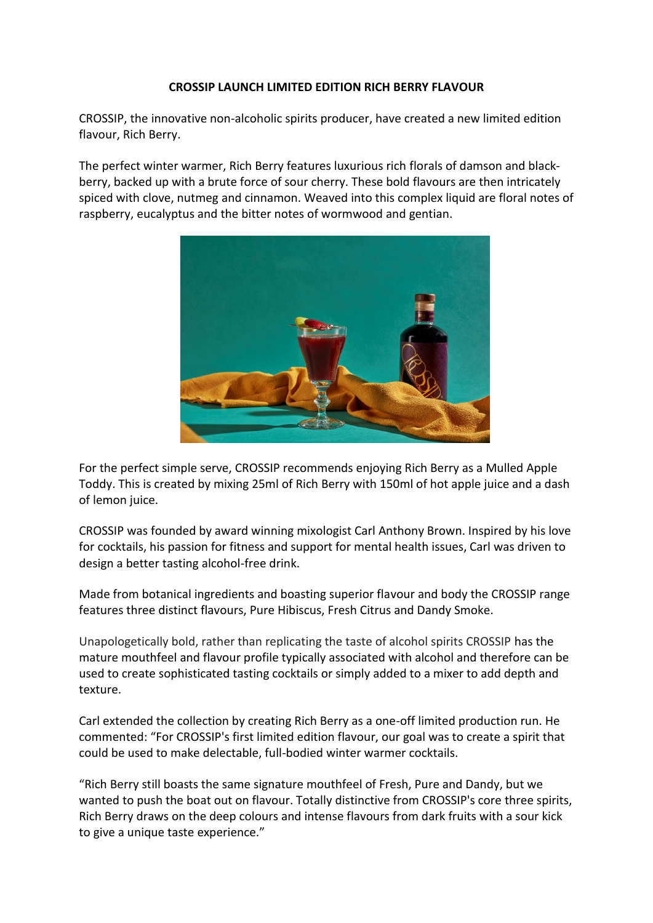## **CROSSIP LAUNCH LIMITED EDITION RICH BERRY FLAVOUR**

CROSSIP, the innovative non-alcoholic spirits producer, have created a new limited edition flavour, Rich Berry.

The perfect winter warmer, Rich Berry features luxurious rich florals of damson and blackberry, backed up with a brute force of sour cherry. These bold flavours are then intricately spiced with clove, nutmeg and cinnamon. Weaved into this complex liquid are floral notes of raspberry, eucalyptus and the bitter notes of wormwood and gentian.



For the perfect simple serve, CROSSIP recommends enjoying Rich Berry as a Mulled Apple Toddy. This is created by mixing 25ml of Rich Berry with 150ml of hot apple juice and a dash of lemon juice.

CROSSIP was founded by award winning mixologist Carl Anthony Brown. Inspired by his love for cocktails, his passion for fitness and support for mental health issues, Carl was driven to design a better tasting alcohol-free drink.

Made from botanical ingredients and boasting superior flavour and body the CROSSIP range features three distinct flavours, Pure Hibiscus, Fresh Citrus and Dandy Smoke.

Unapologetically bold, rather than replicating the taste of alcohol spirits CROSSIP has the mature mouthfeel and flavour profile typically associated with alcohol and therefore can be used to create sophisticated tasting cocktails or simply added to a mixer to add depth and texture.

Carl extended the collection by creating Rich Berry as a one-off limited production run. He commented: "For CROSSIP's first limited edition flavour, our goal was to create a spirit that could be used to make delectable, full-bodied winter warmer cocktails.

"Rich Berry still boasts the same signature mouthfeel of Fresh, Pure and Dandy, but we wanted to push the boat out on flavour. Totally distinctive from CROSSIP's core three spirits, Rich Berry draws on the deep colours and intense flavours from dark fruits with a sour kick to give a unique taste experience."